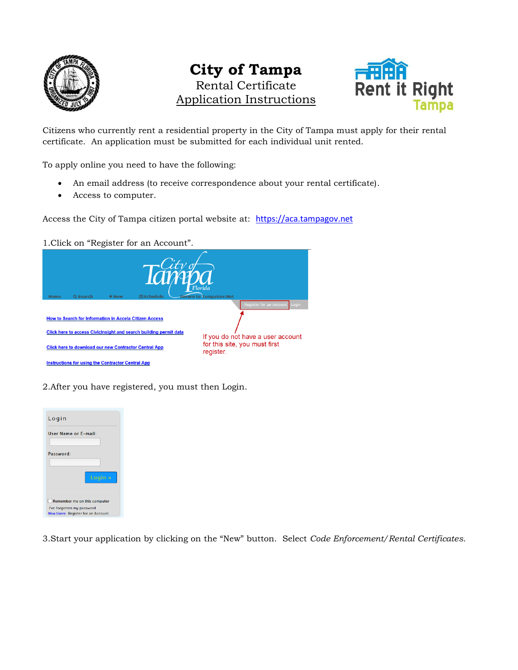

# **City of Tampa** Rental Certificate Application Instructions



Citizens who currently rent a residential property in the City of Tampa must apply for their rental certificate. An application must be submitted for each individual unit rented.

To apply online you need to have the following:

- An email address (to receive correspondence about your rental certificate).
- Access to computer.

Access the City of Tampa citizen portal website at: [https://aca.tampagov.net](https://aca.tampagov.net/)

1.Click on "Register for an Account".

| <b>Home</b> | Q Search                                                     | $+$ New | <b> A</b> Schedule                                                | Florida<br><b>Return to TampaGov.Net</b>   |
|-------------|--------------------------------------------------------------|---------|-------------------------------------------------------------------|--------------------------------------------|
|             |                                                              |         |                                                                   | <b>Register for an Account</b><br>Login    |
|             | How to Search for Information in Accela Citizen Access       |         |                                                                   |                                            |
|             |                                                              |         | Click here to access Civicinsight and search building permit data | If you do not have a user account          |
|             | <b>Click here to download our new Contractor Central App</b> |         |                                                                   | for this site, you must first<br>register. |
|             | Instructions for using the Contractor Central App            |         |                                                                   |                                            |

2.After you have registered, you must then Login.



3.Start your application by clicking on the "New" button. Select *Code Enforcement/Rental Certificates*.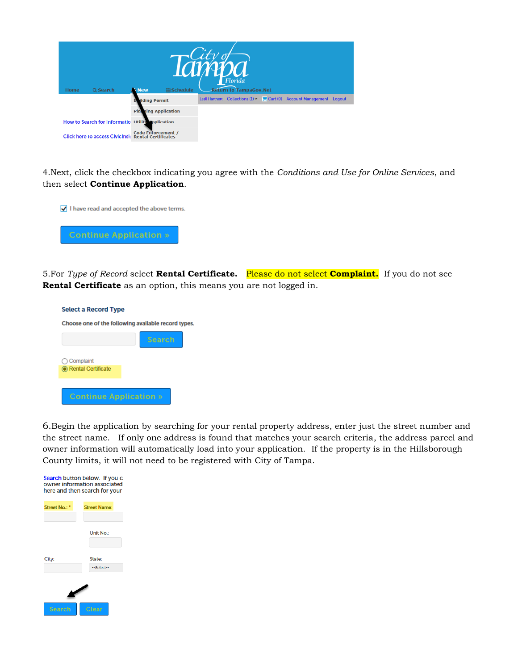| <b>Home</b> | Q Search                                         | <b>New</b>                                              | <b>LCU</b><br><b> A</b> Schedule | DA<br>Florida<br><b>Return to TampaGov.Net</b> |                                    |  |
|-------------|--------------------------------------------------|---------------------------------------------------------|----------------------------------|------------------------------------------------|------------------------------------|--|
|             |                                                  | <b>ilding Permit</b>                                    |                                  | Lesli Hartnett Collections $(1)$               | Cart (0) Account Management Logout |  |
|             |                                                  | <b>Platning Application</b>                             |                                  |                                                |                                    |  |
|             | How to Search for Informatio Utility opplication |                                                         |                                  |                                                |                                    |  |
|             | <b>Click here to access Civicinsin</b>           | <b>Code Enforcement /</b><br><b>Rental Certificates</b> |                                  |                                                |                                    |  |

4.Next, click the checkbox indicating you agree with the *Conditions and Use for Online Services*, and then select **Continue Application**.



5.For *Type of Record* select **Rental Certificate.** Please do not select **Complaint.** If you do not see **Rental Certificate** as an option, this means you are not logged in.

| <b>Select a Record Type</b>   |                                                     |
|-------------------------------|-----------------------------------------------------|
|                               | Choose one of the following available record types. |
|                               | <b>Search</b>                                       |
| $\bigcirc$ Complaint          |                                                     |
| C Rental Certificate          |                                                     |
|                               |                                                     |
| <b>Continue Application »</b> |                                                     |

6.Begin the application by searching for your rental property address, enter just the street number and the street name. If only one address is found that matches your search criteria, the address parcel and owner information will automatically load into your application. If the property is in the Hillsborough County limits, it will not need to be registered with City of Tampa.

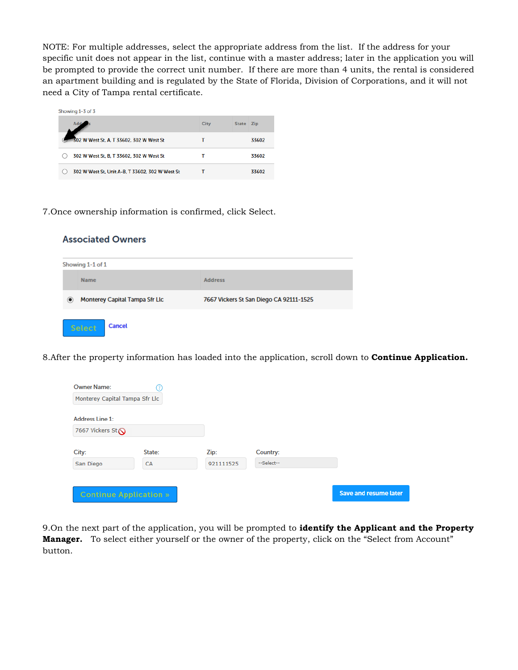NOTE: For multiple addresses, select the appropriate address from the list. If the address for your specific unit does not appear in the list, continue with a master address; later in the application you will be prompted to provide the correct unit number. If there are more than 4 units, the rental is considered an apartment building and is regulated by the State of Florida, Division of Corporations, and it will not need a City of Tampa rental certificate.

| Showing 1-3 of 3                                |      |              |            |
|-------------------------------------------------|------|--------------|------------|
|                                                 | City | <b>State</b> | <b>Zip</b> |
| 302 W West St, A, T 33602, 302 W West St        |      |              | 33602      |
| 302 W West St, B, T 33602, 302 W West St        |      |              | 33602      |
| 302 W West St, Unit A-B, T 33602, 302 W West St |      |              | 33602      |

7.Once ownership information is confirmed, click Select.

**Associated Owners** 

|                  | --------                       |                                         |  |  |  |  |  |  |  |
|------------------|--------------------------------|-----------------------------------------|--|--|--|--|--|--|--|
| Showing 1-1 of 1 |                                |                                         |  |  |  |  |  |  |  |
|                  | <b>Name</b>                    | <b>Address</b>                          |  |  |  |  |  |  |  |
| $\circledcirc$   | Monterey Capital Tampa Sfr Llc | 7667 Vickers St San Diego CA 92111-1525 |  |  |  |  |  |  |  |
|                  | <b>Cancel</b><br>Select        |                                         |  |  |  |  |  |  |  |

8.After the property information has loaded into the application, scroll down to **Continue Application.**

| <b>Owner Name:</b>             |           |           |            |                              |
|--------------------------------|-----------|-----------|------------|------------------------------|
| Monterey Capital Tampa Sfr Llc |           |           |            |                              |
| <b>Address Line 1:</b>         |           |           |            |                              |
| 7667 Vickers St                |           |           |            |                              |
| City:                          | State:    | Zip:      | Country:   |                              |
| San Diego                      | <b>CA</b> | 921111525 | --Select-- |                              |
|                                |           |           |            |                              |
| <b>Continue Application »</b>  |           |           |            | <b>Save and resume later</b> |

9.On the next part of the application, you will be prompted to **identify the Applicant and the Property Manager.** To select either yourself or the owner of the property, click on the "Select from Account" button.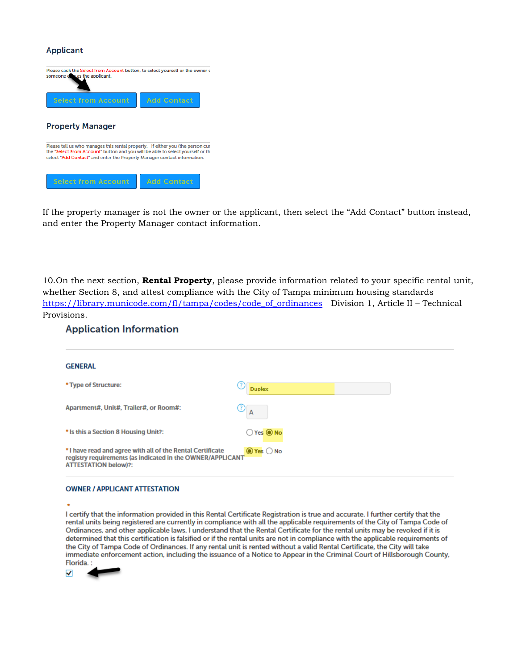### **Applicant**



If the property manager is not the owner or the applicant, then select the "Add Contact" button instead, and enter the Property Manager contact information.

10.On the next section, **Rental Property**, please provide information related to your specific rental unit, whether Section 8, and attest compliance with the City of Tampa minimum housing standards [https://library.municode.com/fl/tampa/codes/code\\_of\\_ordinances](https://library.municode.com/fl/tampa/codes/code_of_ordinances) Division 1, Article II – Technical Provisions.

## **Application Information**

| <b>GENERAL</b>                                                                                                                                         |                           |  |
|--------------------------------------------------------------------------------------------------------------------------------------------------------|---------------------------|--|
| * Type of Structure:                                                                                                                                   | <b>Duplex</b>             |  |
| Apartment#, Unit#, Trailer#, or Room#:                                                                                                                 | $\bigcirc$ <sub>A</sub>   |  |
| * Is this a Section 8 Housing Unit?:                                                                                                                   | $O$ Yes $\bigcirc$ No     |  |
| *I have read and agree with all of the Rental Certificate<br>registry requirements (as indicated in the OWNER/APPLICANT<br><b>ATTESTATION below)?:</b> | $\odot$ Yes $\bigcirc$ No |  |
|                                                                                                                                                        |                           |  |

#### **OWNER / APPLICANT ATTESTATION**

I certify that the information provided in this Rental Certificate Registration is true and accurate. I further certify that the rental units being registered are currently in compliance with all the applicable requirements of the City of Tampa Code of Ordinances, and other applicable laws. I understand that the Rental Certificate for the rental units may be revoked if it is determined that this certification is falsified or if the rental units are not in compliance with the applicable requirements of the City of Tampa Code of Ordinances. If any rental unit is rented without a valid Rental Certificate, the City will take immediate enforcement action, including the issuance of a Notice to Appear in the Criminal Court of Hillsborough County, Florida.

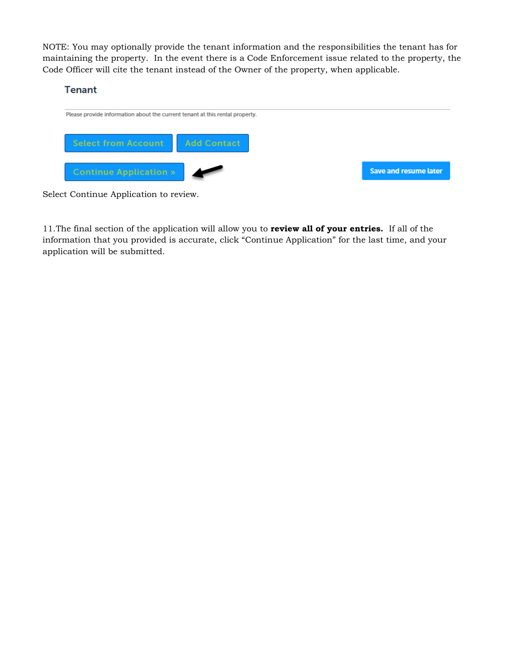NOTE: You may optionally provide the tenant information and the responsibilities the tenant has for maintaining the property. In the event there is a Code Enforcement issue related to the property, the Code Officer will cite the tenant instead of the Owner of the property, when applicable.

# **Tenant**



Select Continue Application to review.

11.The final section of the application will allow you to **review all of your entries.** If all of the information that you provided is accurate, click "Continue Application" for the last time, and your application will be submitted.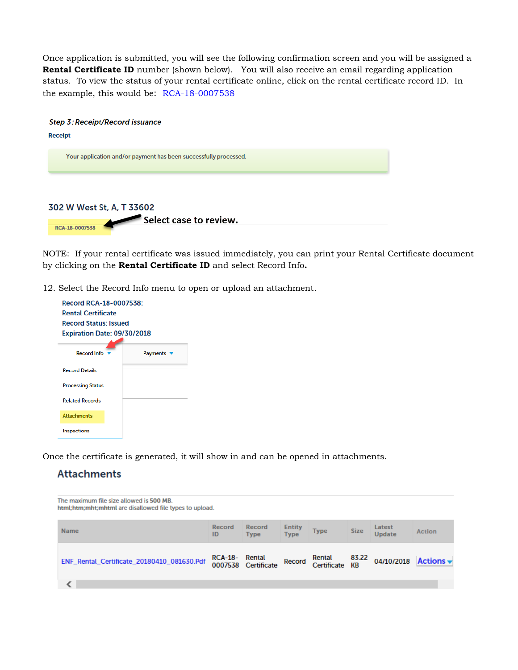Once application is submitted, you will see the following confirmation screen and you will be assigned a **Rental Certificate ID** number (shown below). You will also receive an email regarding application status. To view the status of your rental certificate online, click on the rental certificate record ID. In the example, this would be: RCA-18-0007538



NOTE: If your rental certificate was issued immediately, you can print your Rental Certificate document by clicking on the **Rental Certificate ID** and select Record Info**.**

12. Select the Record Info menu to open or upload an attachment.

| Record RCA-18-0007538:       |                                    |  |  |  |  |  |  |  |
|------------------------------|------------------------------------|--|--|--|--|--|--|--|
| <b>Rental Certificate</b>    |                                    |  |  |  |  |  |  |  |
| <b>Record Status: Issued</b> |                                    |  |  |  |  |  |  |  |
|                              | <b>Expiration Date: 09/30/2018</b> |  |  |  |  |  |  |  |
|                              |                                    |  |  |  |  |  |  |  |
| <b>Record Info</b>           | Payments                           |  |  |  |  |  |  |  |
| <b>Record Details</b>        |                                    |  |  |  |  |  |  |  |
| <b>Processing Status</b>     |                                    |  |  |  |  |  |  |  |
| <b>Related Records</b>       |                                    |  |  |  |  |  |  |  |
| <b>Attachments</b>           |                                    |  |  |  |  |  |  |  |
| Inspections                  |                                    |  |  |  |  |  |  |  |

Once the certificate is generated, it will show in and can be opened in attachments.

# **Attachments**

| The maximum file size allowed is 500 MB.<br>html;htm;mht;mhtml are disallowed file types to upload. |                |                       |                              |                       |                    |                         |                    |
|-----------------------------------------------------------------------------------------------------|----------------|-----------------------|------------------------------|-----------------------|--------------------|-------------------------|--------------------|
| <b>Name</b>                                                                                         | Record<br>ID   | Record<br><b>Type</b> | <b>Entity</b><br><b>Type</b> | <b>Type</b>           | <b>Size</b>        | Latest<br><b>Update</b> | <b>Action</b>      |
| ENF_Rental_Certificate_20180410_081630.Pdf                                                          | RCA-18- Rental | 0007538 Certificate   | Record                       | Rental<br>Certificate | 83.22<br><b>KB</b> |                         | 04/10/2018 Actions |
|                                                                                                     |                |                       |                              |                       |                    |                         |                    |